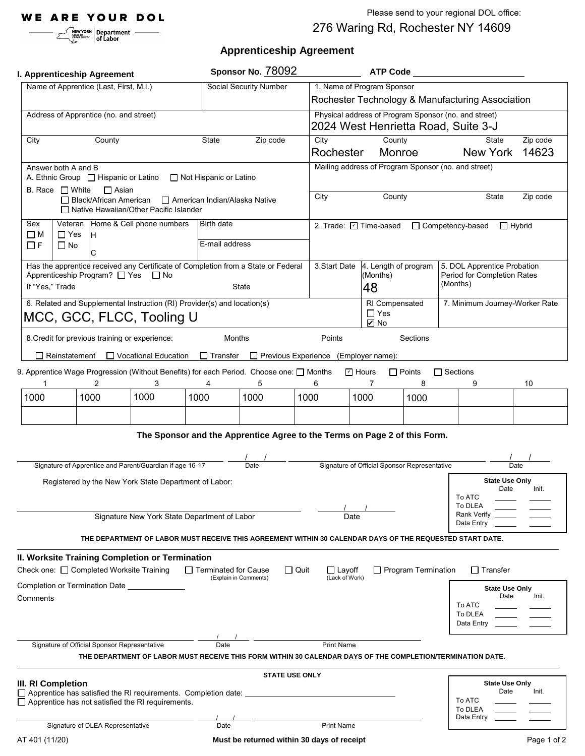Please send to your regional DOL office:

# **Apprenticeship Agreement**

|                                                                                                                                                     |                                             | NEW YORK Department —<br>of Labor                      |                                                                                                                                   |                                  |                                                                                                          |                                                                                             |                                                                                |                                                    | 276 Waring Rd, Rochester NY 14609                                                                          |                                                            |  |
|-----------------------------------------------------------------------------------------------------------------------------------------------------|---------------------------------------------|--------------------------------------------------------|-----------------------------------------------------------------------------------------------------------------------------------|----------------------------------|----------------------------------------------------------------------------------------------------------|---------------------------------------------------------------------------------------------|--------------------------------------------------------------------------------|----------------------------------------------------|------------------------------------------------------------------------------------------------------------|------------------------------------------------------------|--|
|                                                                                                                                                     |                                             |                                                        |                                                                                                                                   |                                  | <b>Apprenticeship Agreement</b>                                                                          |                                                                                             |                                                                                |                                                    |                                                                                                            |                                                            |  |
| I. Apprenticeship Agreement                                                                                                                         |                                             |                                                        |                                                                                                                                   |                                  | Sponsor No. 78092                                                                                        | <b>ATP Code</b>                                                                             |                                                                                |                                                    |                                                                                                            |                                                            |  |
|                                                                                                                                                     |                                             | Name of Apprentice (Last, First, M.I.)                 |                                                                                                                                   |                                  | <b>Social Security Number</b>                                                                            |                                                                                             | 1. Name of Program Sponsor<br>Rochester Technology & Manufacturing Association |                                                    |                                                                                                            |                                                            |  |
| Address of Apprentice (no. and street)                                                                                                              |                                             |                                                        |                                                                                                                                   |                                  |                                                                                                          | Physical address of Program Sponsor (no. and street)<br>2024 West Henrietta Road, Suite 3-J |                                                                                |                                                    |                                                                                                            |                                                            |  |
| County<br>State<br>Zip code<br>City                                                                                                                 |                                             |                                                        |                                                                                                                                   |                                  |                                                                                                          | County<br>State<br>City                                                                     |                                                                                |                                                    |                                                                                                            | Zip code                                                   |  |
|                                                                                                                                                     |                                             |                                                        |                                                                                                                                   |                                  |                                                                                                          | Rochester                                                                                   |                                                                                | Monroe                                             | New York                                                                                                   | 14623                                                      |  |
|                                                                                                                                                     | Answer both A and B<br>B. Race $\Box$ White | A. Ethnic Group   Hispanic or Latino<br><b>□ Asian</b> |                                                                                                                                   | □ Not Hispanic or Latino         |                                                                                                          |                                                                                             |                                                                                |                                                    | Mailing address of Program Sponsor (no. and street)                                                        |                                                            |  |
|                                                                                                                                                     |                                             |                                                        | $\Box$ Black/African American $\Box$ American Indian/Alaska Native<br>□ Native Hawaiian/Other Pacific Islander                    |                                  |                                                                                                          | City                                                                                        | County                                                                         |                                                    | State                                                                                                      | Zip code                                                   |  |
| Sex<br>$\square$ M                                                                                                                                  | $\Box$ Yes                                  | lн.                                                    | Veteran   Home & Cell phone numbers                                                                                               | Birth date                       |                                                                                                          | 2. Trade: 2 Time-based                                                                      |                                                                                |                                                    | □ Competency-based                                                                                         | $\Box$ Hybrid                                              |  |
| ΠF                                                                                                                                                  | $\Box$ No                                   | C                                                      |                                                                                                                                   |                                  | E-mail address                                                                                           |                                                                                             |                                                                                |                                                    |                                                                                                            |                                                            |  |
| Has the apprentice received any Certificate of Completion from a State or Federal<br>Apprenticeship Program? □ Yes □ No<br>If "Yes," Trade<br>State |                                             |                                                        |                                                                                                                                   |                                  |                                                                                                          | 3. Start Date                                                                               | 4. Length of program<br>(Months)<br>48                                         |                                                    | (Months)                                                                                                   | 5. DOL Apprentice Probation<br>Period for Completion Rates |  |
| 6. Related and Supplemental Instruction (RI) Provider(s) and location(s)<br>MCC, GCC, FLCC, Tooling U                                               |                                             |                                                        |                                                                                                                                   |                                  |                                                                                                          |                                                                                             | $\Box$ Yes                                                                     | RI Compensated<br>$\blacksquare$ No                |                                                                                                            | 7. Minimum Journey-Worker Rate                             |  |
|                                                                                                                                                     | Reinstatement                               |                                                        | 8. Credit for previous training or experience:<br>□ Vocational Education                                                          | <b>Months</b><br>$\Box$ Transfer | □ Previous Experience (Employer name):                                                                   | Points                                                                                      |                                                                                | Sections                                           |                                                                                                            |                                                            |  |
|                                                                                                                                                     |                                             | 2                                                      | 3                                                                                                                                 |                                  | 9. Apprentice Wage Progression (Without Benefits) for each Period. Choose one: $\Box$ Months<br>5        | 6                                                                                           | 디 Hours<br>7                                                                   | $\Box$ Points<br>8                                 | $\Box$ Sections<br>9                                                                                       | 10                                                         |  |
| 1000                                                                                                                                                |                                             | 1000                                                   | 1000                                                                                                                              | 1000                             | 1000                                                                                                     | 1000                                                                                        | 1000                                                                           | 1000                                               |                                                                                                            |                                                            |  |
|                                                                                                                                                     |                                             |                                                        |                                                                                                                                   |                                  |                                                                                                          |                                                                                             |                                                                                |                                                    |                                                                                                            |                                                            |  |
|                                                                                                                                                     |                                             |                                                        |                                                                                                                                   |                                  | The Sponsor and the Apprentice Agree to the Terms on Page 2 of this Form.                                |                                                                                             |                                                                                |                                                    |                                                                                                            |                                                            |  |
|                                                                                                                                                     |                                             |                                                        | Signature of Apprentice and Parent/Guardian if age 16-17                                                                          |                                  | Date                                                                                                     |                                                                                             | Signature of Official Sponsor Representative                                   |                                                    |                                                                                                            | Date                                                       |  |
|                                                                                                                                                     |                                             |                                                        | Registered by the New York State Department of Labor:                                                                             |                                  |                                                                                                          |                                                                                             |                                                                                |                                                    | <b>State Use Only</b><br>Date<br>Init.<br>To ATC                                                           |                                                            |  |
| Signature New York State Department of Labor                                                                                                        |                                             |                                                        |                                                                                                                                   |                                  |                                                                                                          |                                                                                             | Date                                                                           |                                                    |                                                                                                            | To DLEA<br>Rank Verify<br>Data Entry                       |  |
|                                                                                                                                                     |                                             |                                                        |                                                                                                                                   |                                  | THE DEPARTMENT OF LABOR MUST RECEIVE THIS AGREEMENT WITHIN 30 CALENDAR DAYS OF THE REQUESTED START DATE. |                                                                                             |                                                                                |                                                    |                                                                                                            |                                                            |  |
|                                                                                                                                                     |                                             |                                                        | II. Worksite Training Completion or Termination<br>Check one: □ Completed Worksite Training                                       | $\Box$ Terminated for Cause      | $\Box$ Quit                                                                                              | $\Box$ Layoff                                                                               |                                                                                | Program Termination                                | $\Box$ Transfer                                                                                            |                                                            |  |
|                                                                                                                                                     |                                             |                                                        | Completion or Termination Date                                                                                                    |                                  | (Explain in Comments)                                                                                    | (Lack of Work)                                                                              |                                                                                |                                                    | <b>State Use Only</b>                                                                                      |                                                            |  |
| Comments                                                                                                                                            |                                             |                                                        |                                                                                                                                   |                                  |                                                                                                          |                                                                                             |                                                                                |                                                    | Date<br>To ATC<br>To DLEA<br>Data Entry                                                                    | Init.                                                      |  |
|                                                                                                                                                     |                                             | Signature of Official Sponsor Representative           |                                                                                                                                   | Date                             |                                                                                                          | Print Name                                                                                  |                                                                                |                                                    | THE DEPARTMENT OF LABOR MUST RECEIVE THIS FORM WITHIN 30 CALENDAR DAYS OF THE COMPLETION/TERMINATION DATE. |                                                            |  |
|                                                                                                                                                     |                                             |                                                        |                                                                                                                                   |                                  | <b>STATE USE ONLY</b>                                                                                    |                                                                                             |                                                                                |                                                    |                                                                                                            |                                                            |  |
|                                                                                                                                                     | <b>III. RI Completion</b>                   |                                                        | $\Box$ Apprentice has satisfied the RI requirements. Completion date:<br>$\Box$ Apprentice has not satisfied the RI requirements. |                                  |                                                                                                          |                                                                                             |                                                                                | <b>State Use Only</b><br>Date<br>To ATC<br>To DLEA | Init.                                                                                                      |                                                            |  |
|                                                                                                                                                     |                                             | Signature of DLEA Representative                       |                                                                                                                                   | Date                             |                                                                                                          | <b>Print Name</b>                                                                           |                                                                                |                                                    | Data Entry                                                                                                 |                                                            |  |
| AT 401 (11/20)                                                                                                                                      |                                             |                                                        |                                                                                                                                   |                                  | Must be returned within 30 days of receipt                                                               |                                                                                             |                                                                                |                                                    |                                                                                                            | Page 1 of 2                                                |  |